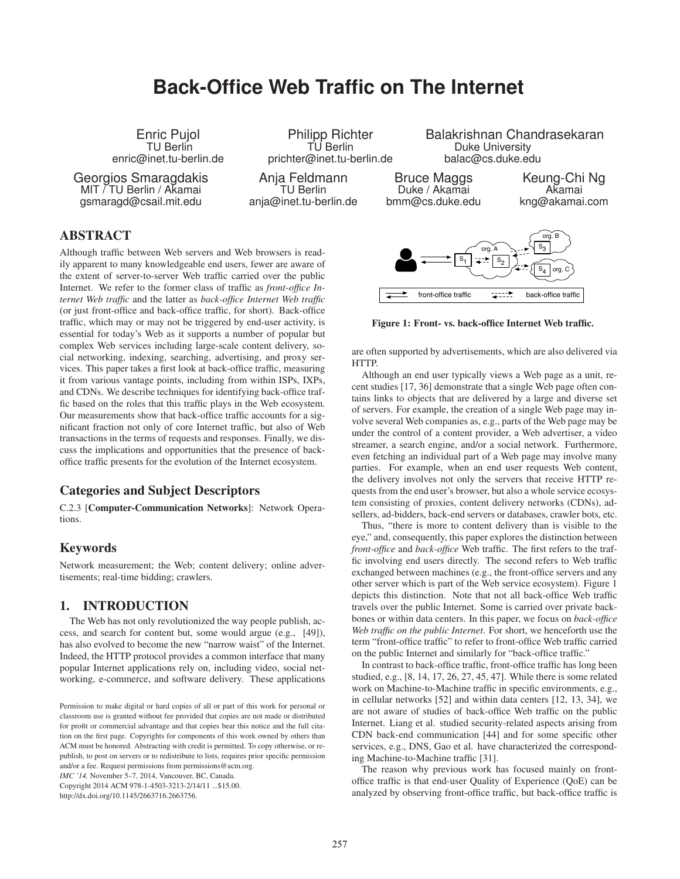# **Back-Office Web Traffic on The Internet**

Enric Pujol TU Berlin enric@inet.tu-berlin.de

Georgios Smaragdakis MIT / TU Berlin / Akamai gsmaragd@csail.mit.edu

Philipp Richter TU Berlin prichter@inet.tu-berlin.de

Anja Feldmann TU Berlin anja@inet.tu-berlin.de Balakrishnan Chandrasekaran Duke University balac@cs.duke.edu

Bruce Maggs Duke / Akamai bmm@cs.duke.edu

Keung-Chi Ng Akamai kng@akamai.com

# ABSTRACT

Although traffic between Web servers and Web browsers is readily apparent to many knowledgeable end users, fewer are aware of the extent of server-to-server Web traffic carried over the public Internet. We refer to the former class of traffic as *front-office Internet Web traffic* and the latter as *back-office Internet Web traffic* (or just front-office and back-office traffic, for short). Back-office traffic, which may or may not be triggered by end-user activity, is essential for today's Web as it supports a number of popular but complex Web services including large-scale content delivery, social networking, indexing, searching, advertising, and proxy services. This paper takes a first look at back-office traffic, measuring it from various vantage points, including from within ISPs, IXPs, and CDNs. We describe techniques for identifying back-office traffic based on the roles that this traffic plays in the Web ecosystem. Our measurements show that back-office traffic accounts for a significant fraction not only of core Internet traffic, but also of Web transactions in the terms of requests and responses. Finally, we discuss the implications and opportunities that the presence of backoffice traffic presents for the evolution of the Internet ecosystem.

# Categories and Subject Descriptors

C.2.3 [Computer-Communication Networks]: Network Operations.

# Keywords

Network measurement; the Web; content delivery; online advertisements; real-time bidding; crawlers.

# 1. INTRODUCTION

The Web has not only revolutionized the way people publish, access, and search for content but, some would argue (e.g., [49]), has also evolved to become the new "narrow waist" of the Internet. Indeed, the HTTP protocol provides a common interface that many popular Internet applications rely on, including video, social networking, e-commerce, and software delivery. These applications

*IMC '14,* November 5–7, 2014, Vancouver, BC, Canada. Copyright 2014 ACM 978-1-4503-3213-2/14/11 ...\$15.00.

http://dx.doi.org/10.1145/2663716.2663756.



Figure 1: Front- vs. back-office Internet Web traffic.

are often supported by advertisements, which are also delivered via HTTP.

Although an end user typically views a Web page as a unit, recent studies [17, 36] demonstrate that a single Web page often contains links to objects that are delivered by a large and diverse set of servers. For example, the creation of a single Web page may involve several Web companies as, e.g., parts of the Web page may be under the control of a content provider, a Web advertiser, a video streamer, a search engine, and/or a social network. Furthermore, even fetching an individual part of a Web page may involve many parties. For example, when an end user requests Web content, the delivery involves not only the servers that receive HTTP requests from the end user's browser, but also a whole service ecosystem consisting of proxies, content delivery networks (CDNs), adsellers, ad-bidders, back-end servers or databases, crawler bots, etc.

Thus, "there is more to content delivery than is visible to the eye," and, consequently, this paper explores the distinction between *front-office* and *back-office* Web traffic. The first refers to the traffic involving end users directly. The second refers to Web traffic exchanged between machines (e.g., the front-office servers and any other server which is part of the Web service ecosystem). Figure 1 depicts this distinction. Note that not all back-office Web traffic travels over the public Internet. Some is carried over private backbones or within data centers. In this paper, we focus on *back-office Web traffic on the public Internet*. For short, we henceforth use the term "front-office traffic" to refer to front-office Web traffic carried on the public Internet and similarly for "back-office traffic."

In contrast to back-office traffic, front-office traffic has long been studied, e.g., [8, 14, 17, 26, 27, 45, 47]. While there is some related work on Machine-to-Machine traffic in specific environments, e.g., in cellular networks [52] and within data centers [12, 13, 34], we are not aware of studies of back-office Web traffic on the public Internet. Liang et al. studied security-related aspects arising from CDN back-end communication [44] and for some specific other services, e.g., DNS, Gao et al. have characterized the corresponding Machine-to-Machine traffic [31].

The reason why previous work has focused mainly on frontoffice traffic is that end-user Quality of Experience (QoE) can be analyzed by observing front-office traffic, but back-office traffic is

Permission to make digital or hard copies of all or part of this work for personal or classroom use is granted without fee provided that copies are not made or distributed for profit or commercial advantage and that copies bear this notice and the full citation on the first page. Copyrights for components of this work owned by others than ACM must be honored. Abstracting with credit is permitted. To copy otherwise, or republish, to post on servers or to redistribute to lists, requires prior specific permission and/or a fee. Request permissions from permissions@acm.org.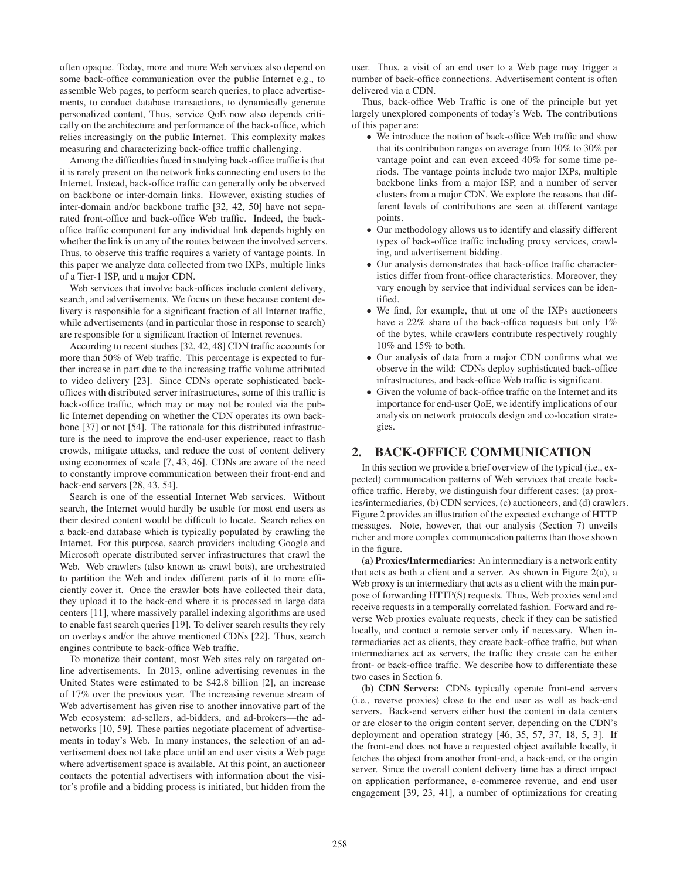often opaque. Today, more and more Web services also depend on some back-office communication over the public Internet e.g., to assemble Web pages, to perform search queries, to place advertisements, to conduct database transactions, to dynamically generate personalized content, Thus, service QoE now also depends critically on the architecture and performance of the back-office, which relies increasingly on the public Internet. This complexity makes measuring and characterizing back-office traffic challenging.

Among the difficulties faced in studying back-office traffic is that it is rarely present on the network links connecting end users to the Internet. Instead, back-office traffic can generally only be observed on backbone or inter-domain links. However, existing studies of inter-domain and/or backbone traffic [32, 42, 50] have not separated front-office and back-office Web traffic. Indeed, the backoffice traffic component for any individual link depends highly on whether the link is on any of the routes between the involved servers. Thus, to observe this traffic requires a variety of vantage points. In this paper we analyze data collected from two IXPs, multiple links of a Tier-1 ISP, and a major CDN.

Web services that involve back-offices include content delivery, search, and advertisements. We focus on these because content delivery is responsible for a significant fraction of all Internet traffic, while advertisements (and in particular those in response to search) are responsible for a significant fraction of Internet revenues.

According to recent studies [32, 42, 48] CDN traffic accounts for more than 50% of Web traffic. This percentage is expected to further increase in part due to the increasing traffic volume attributed to video delivery [23]. Since CDNs operate sophisticated backoffices with distributed server infrastructures, some of this traffic is back-office traffic, which may or may not be routed via the public Internet depending on whether the CDN operates its own backbone [37] or not [54]. The rationale for this distributed infrastructure is the need to improve the end-user experience, react to flash crowds, mitigate attacks, and reduce the cost of content delivery using economies of scale [7, 43, 46]. CDNs are aware of the need to constantly improve communication between their front-end and back-end servers [28, 43, 54].

Search is one of the essential Internet Web services. Without search, the Internet would hardly be usable for most end users as their desired content would be difficult to locate. Search relies on a back-end database which is typically populated by crawling the Internet. For this purpose, search providers including Google and Microsoft operate distributed server infrastructures that crawl the Web. Web crawlers (also known as crawl bots), are orchestrated to partition the Web and index different parts of it to more efficiently cover it. Once the crawler bots have collected their data, they upload it to the back-end where it is processed in large data centers [11], where massively parallel indexing algorithms are used to enable fast search queries [19]. To deliver search results they rely on overlays and/or the above mentioned CDNs [22]. Thus, search engines contribute to back-office Web traffic.

To monetize their content, most Web sites rely on targeted online advertisements. In 2013, online advertising revenues in the United States were estimated to be \$42.8 billion [2], an increase of 17% over the previous year. The increasing revenue stream of Web advertisement has given rise to another innovative part of the Web ecosystem: ad-sellers, ad-bidders, and ad-brokers—the adnetworks [10, 59]. These parties negotiate placement of advertisements in today's Web. In many instances, the selection of an advertisement does not take place until an end user visits a Web page where advertisement space is available. At this point, an auctioneer contacts the potential advertisers with information about the visitor's profile and a bidding process is initiated, but hidden from the

user. Thus, a visit of an end user to a Web page may trigger a number of back-office connections. Advertisement content is often delivered via a CDN.

Thus, back-office Web Traffic is one of the principle but yet largely unexplored components of today's Web. The contributions of this paper are:

- *•* We introduce the notion of back-office Web traffic and show that its contribution ranges on average from 10% to 30% per vantage point and can even exceed 40% for some time periods. The vantage points include two major IXPs, multiple backbone links from a major ISP, and a number of server clusters from a major CDN. We explore the reasons that different levels of contributions are seen at different vantage points.
- *•* Our methodology allows us to identify and classify different types of back-office traffic including proxy services, crawling, and advertisement bidding.
- *•* Our analysis demonstrates that back-office traffic characteristics differ from front-office characteristics. Moreover, they vary enough by service that individual services can be identified.
- We find, for example, that at one of the IXPs auctioneers have a 22% share of the back-office requests but only 1% of the bytes, while crawlers contribute respectively roughly 10% and 15% to both.
- *•* Our analysis of data from a major CDN confirms what we observe in the wild: CDNs deploy sophisticated back-office infrastructures, and back-office Web traffic is significant.
- *•* Given the volume of back-office traffic on the Internet and its importance for end-user QoE, we identify implications of our analysis on network protocols design and co-location strategies.

# 2. BACK-OFFICE COMMUNICATION

In this section we provide a brief overview of the typical (i.e., expected) communication patterns of Web services that create backoffice traffic. Hereby, we distinguish four different cases: (a) proxies/intermediaries, (b) CDN services, (c) auctioneers, and (d) crawlers. Figure 2 provides an illustration of the expected exchange of HTTP messages. Note, however, that our analysis (Section 7) unveils richer and more complex communication patterns than those shown in the figure.

(a) Proxies/Intermediaries: An intermediary is a network entity that acts as both a client and a server. As shown in Figure 2(a), a Web proxy is an intermediary that acts as a client with the main purpose of forwarding HTTP(S) requests. Thus, Web proxies send and receive requests in a temporally correlated fashion. Forward and reverse Web proxies evaluate requests, check if they can be satisfied locally, and contact a remote server only if necessary. When intermediaries act as clients, they create back-office traffic, but when intermediaries act as servers, the traffic they create can be either front- or back-office traffic. We describe how to differentiate these two cases in Section 6.

(b) CDN Servers: CDNs typically operate front-end servers (i.e., reverse proxies) close to the end user as well as back-end servers. Back-end servers either host the content in data centers or are closer to the origin content server, depending on the CDN's deployment and operation strategy [46, 35, 57, 37, 18, 5, 3]. If the front-end does not have a requested object available locally, it fetches the object from another front-end, a back-end, or the origin server. Since the overall content delivery time has a direct impact on application performance, e-commerce revenue, and end user engagement [39, 23, 41], a number of optimizations for creating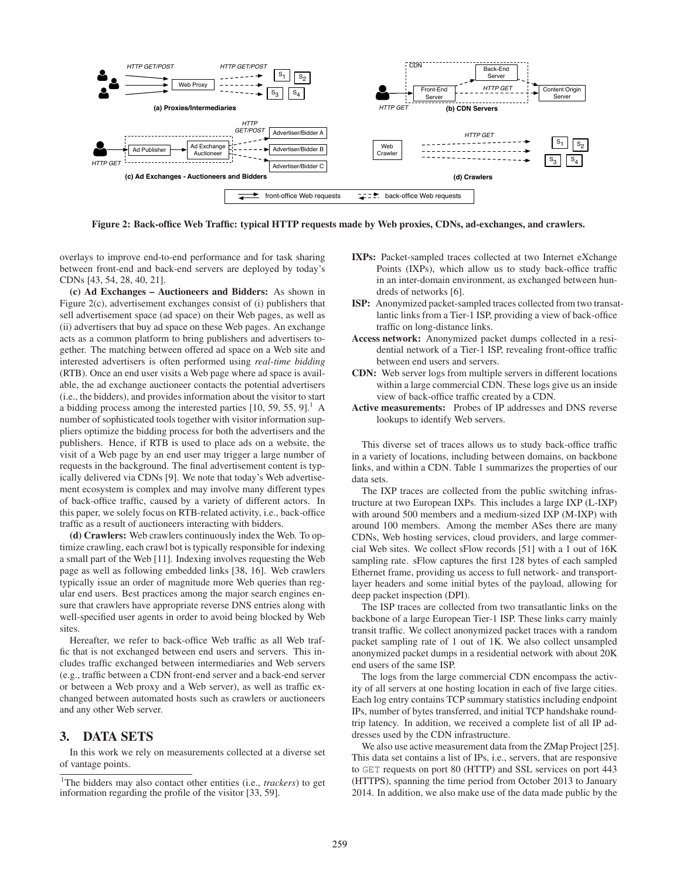

Figure 2: Back-office Web Traffic: typical HTTP requests made by Web proxies, CDNs, ad-exchanges, and crawlers.

overlays to improve end-to-end performance and for task sharing between front-end and back-end servers are deployed by today's CDNs [43, 54, 28, 40, 21].

(c) Ad Exchanges – Auctioneers and Bidders: As shown in Figure 2(c), advertisement exchanges consist of (i) publishers that sell advertisement space (ad space) on their Web pages, as well as (ii) advertisers that buy ad space on these Web pages. An exchange acts as a common platform to bring publishers and advertisers together. The matching between offered ad space on a Web site and interested advertisers is often performed using *real-time bidding* (RTB). Once an end user visits a Web page where ad space is available, the ad exchange auctioneer contacts the potential advertisers (i.e., the bidders), and provides information about the visitor to start a bidding process among the interested parties  $[10, 59, 55, 9]$ .<sup>1</sup> A number of sophisticated tools together with visitor information suppliers optimize the bidding process for both the advertisers and the publishers. Hence, if RTB is used to place ads on a website, the visit of a Web page by an end user may trigger a large number of requests in the background. The final advertisement content is typically delivered via CDNs [9]. We note that today's Web advertisement ecosystem is complex and may involve many different types of back-office traffic, caused by a variety of different actors. In this paper, we solely focus on RTB-related activity, i.e., back-office traffic as a result of auctioneers interacting with bidders.

(d) Crawlers: Web crawlers continuously index the Web. To optimize crawling, each crawl bot is typically responsible for indexing a small part of the Web [11]. Indexing involves requesting the Web page as well as following embedded links [38, 16]. Web crawlers typically issue an order of magnitude more Web queries than regular end users. Best practices among the major search engines ensure that crawlers have appropriate reverse DNS entries along with well-specified user agents in order to avoid being blocked by Web sites.

Hereafter, we refer to back-office Web traffic as all Web traffic that is not exchanged between end users and servers. This includes traffic exchanged between intermediaries and Web servers (e.g., traffic between a CDN front-end server and a back-end server or between a Web proxy and a Web server), as well as traffic exchanged between automated hosts such as crawlers or auctioneers and any other Web server.

## 3. DATA SETS

In this work we rely on measurements collected at a diverse set of vantage points.

- IXPs: Packet-sampled traces collected at two Internet eXchange Points (IXPs), which allow us to study back-office traffic in an inter-domain environment, as exchanged between hundreds of networks [6].
- ISP: Anonymized packet-sampled traces collected from two transatlantic links from a Tier-1 ISP, providing a view of back-office traffic on long-distance links.
- Access network: Anonymized packet dumps collected in a residential network of a Tier-1 ISP, revealing front-office traffic between end users and servers.
- CDN: Web server logs from multiple servers in different locations within a large commercial CDN. These logs give us an inside view of back-office traffic created by a CDN.
- Active measurements: Probes of IP addresses and DNS reverse lookups to identify Web servers.

This diverse set of traces allows us to study back-office traffic in a variety of locations, including between domains, on backbone links, and within a CDN. Table 1 summarizes the properties of our data sets.

The IXP traces are collected from the public switching infrastructure at two European IXPs. This includes a large IXP (L-IXP) with around 500 members and a medium-sized IXP (M-IXP) with around 100 members. Among the member ASes there are many CDNs, Web hosting services, cloud providers, and large commercial Web sites. We collect sFlow records [51] with a 1 out of 16K sampling rate. sFlow captures the first 128 bytes of each sampled Ethernet frame, providing us access to full network- and transportlayer headers and some initial bytes of the payload, allowing for deep packet inspection (DPI).

The ISP traces are collected from two transatlantic links on the backbone of a large European Tier-1 ISP. These links carry mainly transit traffic. We collect anonymized packet traces with a random packet sampling rate of 1 out of 1K. We also collect unsampled anonymized packet dumps in a residential network with about 20K end users of the same ISP.

The logs from the large commercial CDN encompass the activity of all servers at one hosting location in each of five large cities. Each log entry contains TCP summary statistics including endpoint IPs, number of bytes transferred, and initial TCP handshake roundtrip latency. In addition, we received a complete list of all IP addresses used by the CDN infrastructure.

We also use active measurement data from the ZMap Project [25]. This data set contains a list of IPs, i.e., servers, that are responsive to GET requests on port 80 (HTTP) and SSL services on port 443 (HTTPS), spanning the time period from October 2013 to January 2014. In addition, we also make use of the data made public by the

<sup>&</sup>lt;sup>1</sup>The bidders may also contact other entities (i.e., *trackers*) to get information regarding the profile of the visitor [33, 59].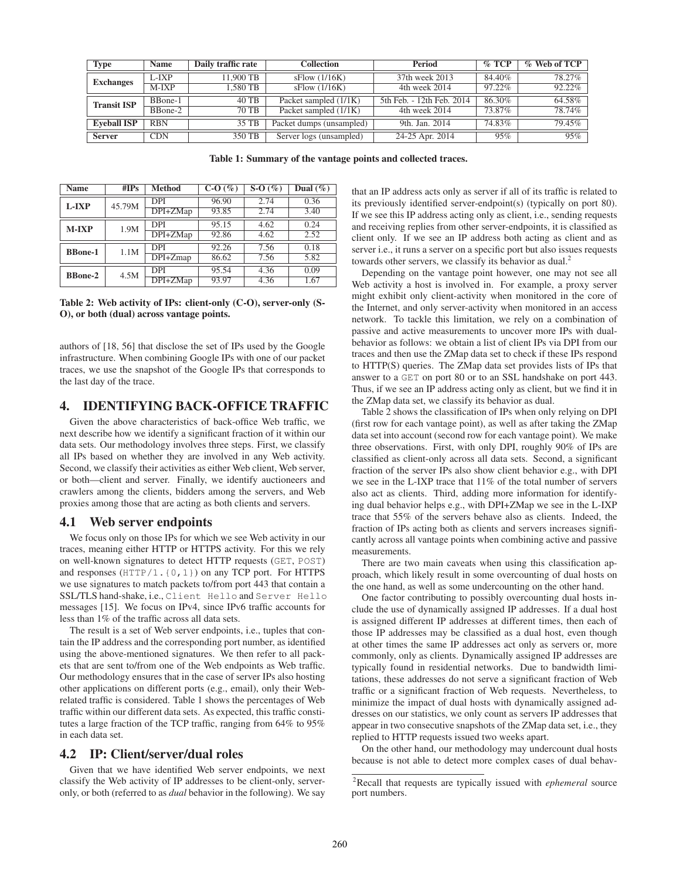| <b>Type</b>        | <b>Name</b> | Daily traffic rate | <b>Collection</b>        | <b>Period</b>             | $\%$ TCP | % Web of TCP |
|--------------------|-------------|--------------------|--------------------------|---------------------------|----------|--------------|
| <b>Exchanges</b>   | L-IXP       | 1.900 TB           | sFlow(1/16K)             | 37th week 2013            | 84.40%   | 78.27%       |
|                    | $M-IXP$     | 1.580 TB           | sFlow(1/16K)             | 4th week 2014             | 97.22%   | 92.22%       |
| <b>Transit ISP</b> | BBone-1     | 40 TB              | Packet sampled (1/1K)    | 5th Feb. - 12th Feb. 2014 | 86.30%   | 64.58%       |
|                    | BBone-2     | $70 \text{ TB}$    | Packet sampled (1/1K)    | 4th week 2014             | 73.87%   | 78.74%       |
| <b>Eveball ISP</b> | <b>RBN</b>  | 35 TB              | Packet dumps (unsampled) | 9th. Jan. 2014            | 74.83%   | 79.45%       |
| <b>Server</b>      | <b>CDN</b>  | 350 TB             | Server logs (unsampled)  | 24-25 Apr. 2014           | 95%      | 95%          |

Table 1: Summary of the vantage points and collected traces.

| <b>Name</b>    | #IPs   | <b>Method</b> | $C-O(%)$ | $S-O(%)$ | Dual $(\%)$ |
|----------------|--------|---------------|----------|----------|-------------|
| L-IXP          | 45.79M | <b>DPI</b>    | 96.90    | 2.74     | 0.36        |
|                |        | $DPI+ZMap$    | 93.85    | 2.74     | 3.40        |
| $M-IXP$        | 1.9M   | <b>DPI</b>    | 95.15    | 4.62     | 0.24        |
|                |        | $DPI+ZMap$    | 92.86    | 4.62     | 2.52        |
| <b>BBone-1</b> | 1.1M   | <b>DPI</b>    | 92.26    | 7.56     | 0.18        |
|                |        | $DPI+Zmap$    | 86.62    | 7.56     | 5.82        |
| <b>BBone-2</b> | 4.5M   | <b>DPI</b>    | 95.54    | 4.36     | 0.09        |
|                |        | DPI+ZMap      | 93.97    | 4.36     | 1.67        |

Table 2: Web activity of IPs: client-only (C-O), server-only (S-O), or both (dual) across vantage points.

authors of [18, 56] that disclose the set of IPs used by the Google infrastructure. When combining Google IPs with one of our packet traces, we use the snapshot of the Google IPs that corresponds to the last day of the trace.

## 4. IDENTIFYING BACK-OFFICE TRAFFIC

Given the above characteristics of back-office Web traffic, we next describe how we identify a significant fraction of it within our data sets. Our methodology involves three steps. First, we classify all IPs based on whether they are involved in any Web activity. Second, we classify their activities as either Web client, Web server, or both—client and server. Finally, we identify auctioneers and crawlers among the clients, bidders among the servers, and Web proxies among those that are acting as both clients and servers.

#### 4.1 Web server endpoints

We focus only on those IPs for which we see Web activity in our traces, meaning either HTTP or HTTPS activity. For this we rely on well-known signatures to detect HTTP requests (GET, POST) and responses (HTTP/1.{0,1}) on any TCP port. For HTTPS we use signatures to match packets to/from port 443 that contain a SSL/TLS hand-shake, i.e., Client Hello and Server Hello messages [15]. We focus on IPv4, since IPv6 traffic accounts for less than 1% of the traffic across all data sets.

The result is a set of Web server endpoints, i.e., tuples that contain the IP address and the corresponding port number, as identified using the above-mentioned signatures. We then refer to all packets that are sent to/from one of the Web endpoints as Web traffic. Our methodology ensures that in the case of server IPs also hosting other applications on different ports (e.g., email), only their Webrelated traffic is considered. Table 1 shows the percentages of Web traffic within our different data sets. As expected, this traffic constitutes a large fraction of the TCP traffic, ranging from 64% to 95% in each data set.

#### 4.2 IP: Client/server/dual roles

Given that we have identified Web server endpoints, we next classify the Web activity of IP addresses to be client-only, serveronly, or both (referred to as *dual* behavior in the following). We say that an IP address acts only as server if all of its traffic is related to its previously identified server-endpoint(s) (typically on port 80). If we see this IP address acting only as client, i.e., sending requests and receiving replies from other server-endpoints, it is classified as client only. If we see an IP address both acting as client and as server i.e., it runs a server on a specific port but also issues requests towards other servers, we classify its behavior as dual.<sup>2</sup>

Depending on the vantage point however, one may not see all Web activity a host is involved in. For example, a proxy server might exhibit only client-activity when monitored in the core of the Internet, and only server-activity when monitored in an access network. To tackle this limitation, we rely on a combination of passive and active measurements to uncover more IPs with dualbehavior as follows: we obtain a list of client IPs via DPI from our traces and then use the ZMap data set to check if these IPs respond to HTTP(S) queries. The ZMap data set provides lists of IPs that answer to a GET on port 80 or to an SSL handshake on port 443. Thus, if we see an IP address acting only as client, but we find it in the ZMap data set, we classify its behavior as dual.

Table 2 shows the classification of IPs when only relying on DPI (first row for each vantage point), as well as after taking the ZMap data set into account (second row for each vantage point). We make three observations. First, with only DPI, roughly 90% of IPs are classified as client-only across all data sets. Second, a significant fraction of the server IPs also show client behavior e.g., with DPI we see in the L-IXP trace that 11% of the total number of servers also act as clients. Third, adding more information for identifying dual behavior helps e.g., with DPI+ZMap we see in the L-IXP trace that 55% of the servers behave also as clients. Indeed, the fraction of IPs acting both as clients and servers increases significantly across all vantage points when combining active and passive measurements.

There are two main caveats when using this classification approach, which likely result in some overcounting of dual hosts on the one hand, as well as some undercounting on the other hand.

One factor contributing to possibly overcounting dual hosts include the use of dynamically assigned IP addresses. If a dual host is assigned different IP addresses at different times, then each of those IP addresses may be classified as a dual host, even though at other times the same IP addresses act only as servers or, more commonly, only as clients. Dynamically assigned IP addresses are typically found in residential networks. Due to bandwidth limitations, these addresses do not serve a significant fraction of Web traffic or a significant fraction of Web requests. Nevertheless, to minimize the impact of dual hosts with dynamically assigned addresses on our statistics, we only count as servers IP addresses that appear in two consecutive snapshots of the ZMap data set, i.e., they replied to HTTP requests issued two weeks apart.

On the other hand, our methodology may undercount dual hosts because is not able to detect more complex cases of dual behav-

<sup>2</sup> Recall that requests are typically issued with *ephemeral* source port numbers.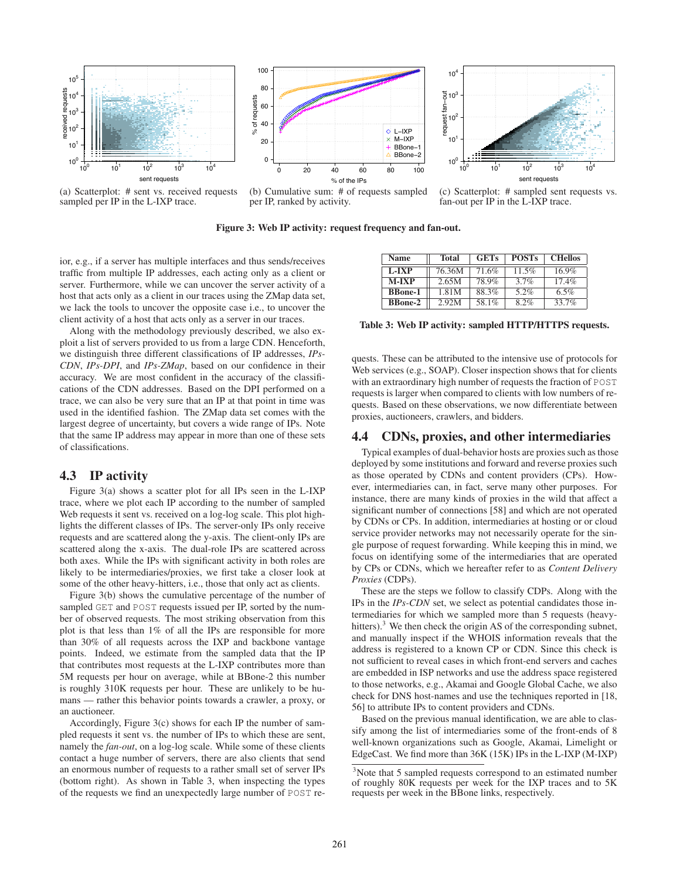

(a) Scatterplot: # sent vs. received requests sampled per IP in the L-IXP trace.



(c) Scatterplot: # sampled sent requests vs. fan-out per IP in the L-IXP trace.

Figure 3: Web IP activity: request frequency and fan-out.

ior, e.g., if a server has multiple interfaces and thus sends/receives traffic from multiple IP addresses, each acting only as a client or server. Furthermore, while we can uncover the server activity of a host that acts only as a client in our traces using the ZMap data set, we lack the tools to uncover the opposite case i.e., to uncover the client activity of a host that acts only as a server in our traces.

Along with the methodology previously described, we also exploit a list of servers provided to us from a large CDN. Henceforth, we distinguish three different classifications of IP addresses, *IPs-CDN*, *IPs-DPI*, and *IPs-ZMap*, based on our confidence in their accuracy. We are most confident in the accuracy of the classifications of the CDN addresses. Based on the DPI performed on a trace, we can also be very sure that an IP at that point in time was used in the identified fashion. The ZMap data set comes with the largest degree of uncertainty, but covers a wide range of IPs. Note that the same IP address may appear in more than one of these sets of classifications.

# 4.3 IP activity

Figure 3(a) shows a scatter plot for all IPs seen in the L-IXP trace, where we plot each IP according to the number of sampled Web requests it sent vs. received on a log-log scale. This plot highlights the different classes of IPs. The server-only IPs only receive requests and are scattered along the y-axis. The client-only IPs are scattered along the x-axis. The dual-role IPs are scattered across both axes. While the IPs with significant activity in both roles are likely to be intermediaries/proxies, we first take a closer look at some of the other heavy-hitters, i.e., those that only act as clients.

Figure 3(b) shows the cumulative percentage of the number of sampled GET and POST requests issued per IP, sorted by the number of observed requests. The most striking observation from this plot is that less than 1% of all the IPs are responsible for more than 30% of all requests across the IXP and backbone vantage points. Indeed, we estimate from the sampled data that the IP that contributes most requests at the L-IXP contributes more than 5M requests per hour on average, while at BBone-2 this number is roughly 310K requests per hour. These are unlikely to be humans — rather this behavior points towards a crawler, a proxy, or an auctioneer.

Accordingly, Figure 3(c) shows for each IP the number of sampled requests it sent vs. the number of IPs to which these are sent, namely the *fan-out*, on a log-log scale. While some of these clients contact a huge number of servers, there are also clients that send an enormous number of requests to a rather small set of server IPs (bottom right). As shown in Table 3, when inspecting the types of the requests we find an unexpectedly large number of POST re-

| Name           | Total  | <b>GETs</b> | <b>POSTs</b> | <b>CHellos</b> |
|----------------|--------|-------------|--------------|----------------|
| L-IXP          | 76.36M | 71.6%       | $11.5\%$     | $16.9\%$       |
| <b>M-IXP</b>   | 2.65M  | 78.9%       | $3.7\%$      | 17.4%          |
| <b>BBone-1</b> | 1.81M  | 88.3%       | 5.2%         | 6.5%           |
| <b>BBone-2</b> | 2.92M  | 58.1%       | 8.2%         | 33.7%          |

Table 3: Web IP activity: sampled HTTP/HTTPS requests.

quests. These can be attributed to the intensive use of protocols for Web services (e.g., SOAP). Closer inspection shows that for clients with an extraordinary high number of requests the fraction of POST requests is larger when compared to clients with low numbers of requests. Based on these observations, we now differentiate between proxies, auctioneers, crawlers, and bidders.

#### 4.4 CDNs, proxies, and other intermediaries

Typical examples of dual-behavior hosts are proxies such as those deployed by some institutions and forward and reverse proxies such as those operated by CDNs and content providers (CPs). However, intermediaries can, in fact, serve many other purposes. For instance, there are many kinds of proxies in the wild that affect a significant number of connections [58] and which are not operated by CDNs or CPs. In addition, intermediaries at hosting or or cloud service provider networks may not necessarily operate for the single purpose of request forwarding. While keeping this in mind, we focus on identifying some of the intermediaries that are operated by CPs or CDNs, which we hereafter refer to as *Content Delivery Proxies* (CDPs).

These are the steps we follow to classify CDPs. Along with the IPs in the *IPs-CDN* set, we select as potential candidates those intermediaries for which we sampled more than 5 requests (heavyhitters).<sup>3</sup> We then check the origin AS of the corresponding subnet, and manually inspect if the WHOIS information reveals that the address is registered to a known CP or CDN. Since this check is not sufficient to reveal cases in which front-end servers and caches are embedded in ISP networks and use the address space registered to those networks, e.g., Akamai and Google Global Cache, we also check for DNS host-names and use the techniques reported in [18, 56] to attribute IPs to content providers and CDNs.

Based on the previous manual identification, we are able to classify among the list of intermediaries some of the front-ends of 8 well-known organizations such as Google, Akamai, Limelight or EdgeCast. We find more than 36K (15K) IPs in the L-IXP (M-IXP)

<sup>&</sup>lt;sup>3</sup>Note that 5 sampled requests correspond to an estimated number of roughly 80K requests per week for the IXP traces and to 5K requests per week in the BBone links, respectively.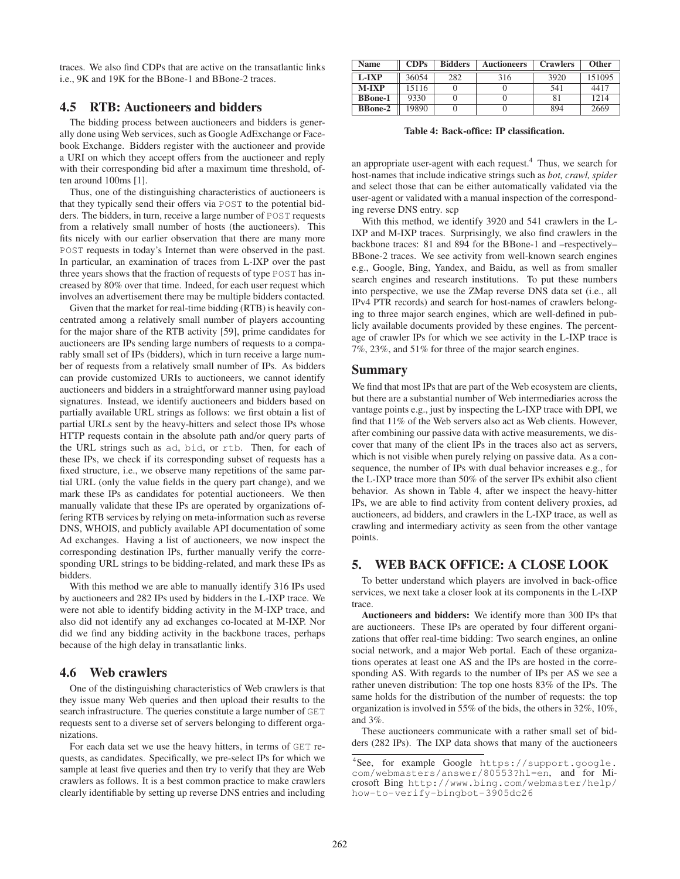traces. We also find CDPs that are active on the transatlantic links i.e., 9K and 19K for the BBone-1 and BBone-2 traces.

# 4.5 RTB: Auctioneers and bidders

The bidding process between auctioneers and bidders is generally done using Web services, such as Google AdExchange or Facebook Exchange. Bidders register with the auctioneer and provide a URI on which they accept offers from the auctioneer and reply with their corresponding bid after a maximum time threshold, often around 100ms [1].

Thus, one of the distinguishing characteristics of auctioneers is that they typically send their offers via POST to the potential bidders. The bidders, in turn, receive a large number of POST requests from a relatively small number of hosts (the auctioneers). This fits nicely with our earlier observation that there are many more POST requests in today's Internet than were observed in the past. In particular, an examination of traces from L-IXP over the past three years shows that the fraction of requests of type POST has increased by 80% over that time. Indeed, for each user request which involves an advertisement there may be multiple bidders contacted.

Given that the market for real-time bidding (RTB) is heavily concentrated among a relatively small number of players accounting for the major share of the RTB activity [59], prime candidates for auctioneers are IPs sending large numbers of requests to a comparably small set of IPs (bidders), which in turn receive a large number of requests from a relatively small number of IPs. As bidders can provide customized URIs to auctioneers, we cannot identify auctioneers and bidders in a straightforward manner using payload signatures. Instead, we identify auctioneers and bidders based on partially available URL strings as follows: we first obtain a list of partial URLs sent by the heavy-hitters and select those IPs whose HTTP requests contain in the absolute path and/or query parts of the URL strings such as ad, bid, or rtb. Then, for each of these IPs, we check if its corresponding subset of requests has a fixed structure, i.e., we observe many repetitions of the same partial URL (only the value fields in the query part change), and we mark these IPs as candidates for potential auctioneers. We then manually validate that these IPs are operated by organizations offering RTB services by relying on meta-information such as reverse DNS, WHOIS, and publicly available API documentation of some Ad exchanges. Having a list of auctioneers, we now inspect the corresponding destination IPs, further manually verify the corresponding URL strings to be bidding-related, and mark these IPs as bidders.

With this method we are able to manually identify 316 IPs used by auctioneers and 282 IPs used by bidders in the L-IXP trace. We were not able to identify bidding activity in the M-IXP trace, and also did not identify any ad exchanges co-located at M-IXP. Nor did we find any bidding activity in the backbone traces, perhaps because of the high delay in transatlantic links.

#### 4.6 Web crawlers

One of the distinguishing characteristics of Web crawlers is that they issue many Web queries and then upload their results to the search infrastructure. The queries constitute a large number of GET requests sent to a diverse set of servers belonging to different organizations.

For each data set we use the heavy hitters, in terms of GET requests, as candidates. Specifically, we pre-select IPs for which we sample at least five queries and then try to verify that they are Web crawlers as follows. It is a best common practice to make crawlers clearly identifiable by setting up reverse DNS entries and including

| Name           | CDPs  | <b>Bidders</b> | <b>Auctioneers</b> | <b>Crawlers</b> | <b>Other</b> |
|----------------|-------|----------------|--------------------|-----------------|--------------|
| L-IXP          | 36054 | 282            | 316                | 3920            | 151095       |
| $M-IXP$        | 15116 |                |                    | 541             | 4417         |
| <b>BBone-1</b> | 9330  |                |                    |                 | 1214         |
| <b>BBone-2</b> | 19890 |                |                    | 894             | 2669         |

Table 4: Back-office: IP classification.

an appropriate user-agent with each request.<sup>4</sup> Thus, we search for host-names that include indicative strings such as *bot, crawl, spider* and select those that can be either automatically validated via the user-agent or validated with a manual inspection of the corresponding reverse DNS entry. scp

With this method, we identify 3920 and 541 crawlers in the L-IXP and M-IXP traces. Surprisingly, we also find crawlers in the backbone traces: 81 and 894 for the BBone-1 and –respectively– BBone-2 traces. We see activity from well-known search engines e.g., Google, Bing, Yandex, and Baidu, as well as from smaller search engines and research institutions. To put these numbers into perspective, we use the ZMap reverse DNS data set (i.e., all IPv4 PTR records) and search for host-names of crawlers belonging to three major search engines, which are well-defined in publicly available documents provided by these engines. The percentage of crawler IPs for which we see activity in the L-IXP trace is 7%, 23%, and 51% for three of the major search engines.

#### Summary

We find that most IPs that are part of the Web ecosystem are clients, but there are a substantial number of Web intermediaries across the vantage points e.g., just by inspecting the L-IXP trace with DPI, we find that 11% of the Web servers also act as Web clients. However, after combining our passive data with active measurements, we discover that many of the client IPs in the traces also act as servers, which is not visible when purely relying on passive data. As a consequence, the number of IPs with dual behavior increases e.g., for the L-IXP trace more than 50% of the server IPs exhibit also client behavior. As shown in Table 4, after we inspect the heavy-hitter IPs, we are able to find activity from content delivery proxies, ad auctioneers, ad bidders, and crawlers in the L-IXP trace, as well as crawling and intermediary activity as seen from the other vantage points.

# 5. WEB BACK OFFICE: A CLOSE LOOK

To better understand which players are involved in back-office services, we next take a closer look at its components in the L-IXP trace.

Auctioneers and bidders: We identify more than 300 IPs that are auctioneers. These IPs are operated by four different organizations that offer real-time bidding: Two search engines, an online social network, and a major Web portal. Each of these organizations operates at least one AS and the IPs are hosted in the corresponding AS. With regards to the number of IPs per AS we see a rather uneven distribution: The top one hosts 83% of the IPs. The same holds for the distribution of the number of requests: the top organization is involved in 55% of the bids, the others in 32%, 10%, and 3%.

These auctioneers communicate with a rather small set of bidders (282 IPs). The IXP data shows that many of the auctioneers

<sup>4</sup> See, for example Google https://support.google. com/webmasters/answer/80553?hl=en, and for Microsoft Bing http://www.bing.com/webmaster/help/ how-to-verify-bingbot-3905dc26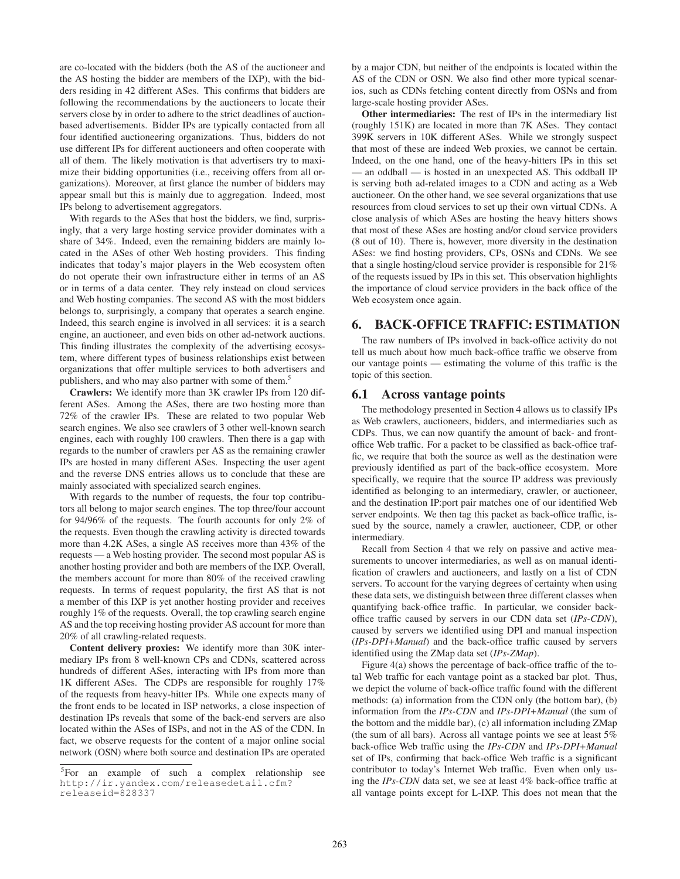are co-located with the bidders (both the AS of the auctioneer and the AS hosting the bidder are members of the IXP), with the bidders residing in 42 different ASes. This confirms that bidders are following the recommendations by the auctioneers to locate their servers close by in order to adhere to the strict deadlines of auctionbased advertisements. Bidder IPs are typically contacted from all four identified auctioneering organizations. Thus, bidders do not use different IPs for different auctioneers and often cooperate with all of them. The likely motivation is that advertisers try to maximize their bidding opportunities (i.e., receiving offers from all organizations). Moreover, at first glance the number of bidders may appear small but this is mainly due to aggregation. Indeed, most IPs belong to advertisement aggregators.

With regards to the ASes that host the bidders, we find, surprisingly, that a very large hosting service provider dominates with a share of 34%. Indeed, even the remaining bidders are mainly located in the ASes of other Web hosting providers. This finding indicates that today's major players in the Web ecosystem often do not operate their own infrastructure either in terms of an AS or in terms of a data center. They rely instead on cloud services and Web hosting companies. The second AS with the most bidders belongs to, surprisingly, a company that operates a search engine. Indeed, this search engine is involved in all services: it is a search engine, an auctioneer, and even bids on other ad-network auctions. This finding illustrates the complexity of the advertising ecosystem, where different types of business relationships exist between organizations that offer multiple services to both advertisers and publishers, and who may also partner with some of them.<sup>5</sup>

Crawlers: We identify more than 3K crawler IPs from 120 different ASes. Among the ASes, there are two hosting more than 72% of the crawler IPs. These are related to two popular Web search engines. We also see crawlers of 3 other well-known search engines, each with roughly 100 crawlers. Then there is a gap with regards to the number of crawlers per AS as the remaining crawler IPs are hosted in many different ASes. Inspecting the user agent and the reverse DNS entries allows us to conclude that these are mainly associated with specialized search engines.

With regards to the number of requests, the four top contributors all belong to major search engines. The top three/four account for 94/96% of the requests. The fourth accounts for only 2% of the requests. Even though the crawling activity is directed towards more than 4.2K ASes, a single AS receives more than 43% of the requests — a Web hosting provider. The second most popular AS is another hosting provider and both are members of the IXP. Overall, the members account for more than 80% of the received crawling requests. In terms of request popularity, the first AS that is not a member of this IXP is yet another hosting provider and receives roughly 1% of the requests. Overall, the top crawling search engine AS and the top receiving hosting provider AS account for more than 20% of all crawling-related requests.

Content delivery proxies: We identify more than 30K intermediary IPs from 8 well-known CPs and CDNs, scattered across hundreds of different ASes, interacting with IPs from more than 1K different ASes. The CDPs are responsible for roughly 17% of the requests from heavy-hitter IPs. While one expects many of the front ends to be located in ISP networks, a close inspection of destination IPs reveals that some of the back-end servers are also located within the ASes of ISPs, and not in the AS of the CDN. In fact, we observe requests for the content of a major online social network (OSN) where both source and destination IPs are operated

by a major CDN, but neither of the endpoints is located within the AS of the CDN or OSN. We also find other more typical scenarios, such as CDNs fetching content directly from OSNs and from large-scale hosting provider ASes.

Other intermediaries: The rest of IPs in the intermediary list (roughly 151K) are located in more than 7K ASes. They contact 399K servers in 10K different ASes. While we strongly suspect that most of these are indeed Web proxies, we cannot be certain. Indeed, on the one hand, one of the heavy-hitters IPs in this set — an oddball — is hosted in an unexpected AS. This oddball IP is serving both ad-related images to a CDN and acting as a Web auctioneer. On the other hand, we see several organizations that use resources from cloud services to set up their own virtual CDNs. A close analysis of which ASes are hosting the heavy hitters shows that most of these ASes are hosting and/or cloud service providers (8 out of 10). There is, however, more diversity in the destination ASes: we find hosting providers, CPs, OSNs and CDNs. We see that a single hosting/cloud service provider is responsible for 21% of the requests issued by IPs in this set. This observation highlights the importance of cloud service providers in the back office of the Web ecosystem once again.

#### 6. BACK-OFFICE TRAFFIC: ESTIMATION

The raw numbers of IPs involved in back-office activity do not tell us much about how much back-office traffic we observe from our vantage points — estimating the volume of this traffic is the topic of this section.

#### 6.1 Across vantage points

The methodology presented in Section 4 allows us to classify IPs as Web crawlers, auctioneers, bidders, and intermediaries such as CDPs. Thus, we can now quantify the amount of back- and frontoffice Web traffic. For a packet to be classified as back-office traffic, we require that both the source as well as the destination were previously identified as part of the back-office ecosystem. More specifically, we require that the source IP address was previously identified as belonging to an intermediary, crawler, or auctioneer, and the destination IP:port pair matches one of our identified Web server endpoints. We then tag this packet as back-office traffic, issued by the source, namely a crawler, auctioneer, CDP, or other intermediary.

Recall from Section 4 that we rely on passive and active measurements to uncover intermediaries, as well as on manual identification of crawlers and auctioneers, and lastly on a list of CDN servers. To account for the varying degrees of certainty when using these data sets, we distinguish between three different classes when quantifying back-office traffic. In particular, we consider backoffice traffic caused by servers in our CDN data set (*IPs-CDN*), caused by servers we identified using DPI and manual inspection (*IPs-DPI+Manual*) and the back-office traffic caused by servers identified using the ZMap data set (*IPs-ZMap*).

Figure 4(a) shows the percentage of back-office traffic of the total Web traffic for each vantage point as a stacked bar plot. Thus, we depict the volume of back-office traffic found with the different methods: (a) information from the CDN only (the bottom bar), (b) information from the *IPs-CDN* and *IPs-DPI+Manual* (the sum of the bottom and the middle bar), (c) all information including ZMap (the sum of all bars). Across all vantage points we see at least 5% back-office Web traffic using the *IPs-CDN* and *IPs-DPI+Manual* set of IPs, confirming that back-office Web traffic is a significant contributor to today's Internet Web traffic. Even when only using the *IPs-CDN* data set, we see at least 4% back-office traffic at all vantage points except for L-IXP. This does not mean that the

<sup>&</sup>lt;sup>5</sup>For an example of such a complex relationship see http://ir.yandex.com/releasedetail.cfm? releaseid=828337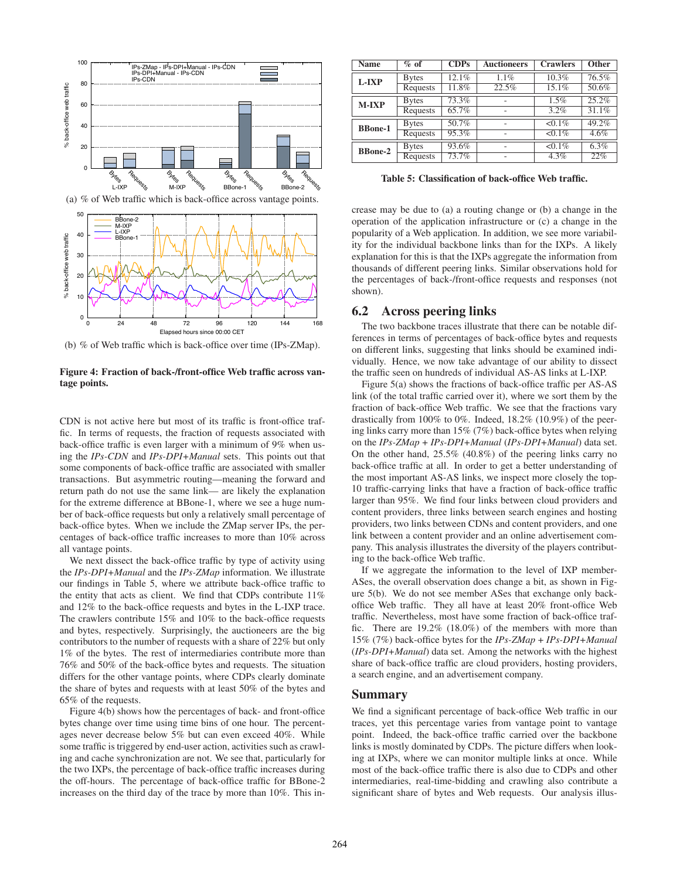

(b) % of Web traffic which is back-office over time (IPs-ZMap).

Figure 4: Fraction of back-/front-office Web traffic across vantage points.

CDN is not active here but most of its traffic is front-office traffic. In terms of requests, the fraction of requests associated with back-office traffic is even larger with a minimum of 9% when using the *IPs-CDN* and *IPs-DPI+Manual* sets. This points out that some components of back-office traffic are associated with smaller transactions. But asymmetric routing—meaning the forward and return path do not use the same link— are likely the explanation for the extreme difference at BBone-1, where we see a huge number of back-office requests but only a relatively small percentage of back-office bytes. When we include the ZMap server IPs, the percentages of back-office traffic increases to more than 10% across all vantage points.

We next dissect the back-office traffic by type of activity using the *IPs-DPI+Manual* and the *IPs-ZMap* information. We illustrate our findings in Table 5, where we attribute back-office traffic to the entity that acts as client. We find that CDPs contribute 11% and 12% to the back-office requests and bytes in the L-IXP trace. The crawlers contribute 15% and 10% to the back-office requests and bytes, respectively. Surprisingly, the auctioneers are the big contributors to the number of requests with a share of 22% but only 1% of the bytes. The rest of intermediaries contribute more than 76% and 50% of the back-office bytes and requests. The situation differs for the other vantage points, where CDPs clearly dominate the share of bytes and requests with at least 50% of the bytes and 65% of the requests.

Figure 4(b) shows how the percentages of back- and front-office bytes change over time using time bins of one hour. The percentages never decrease below 5% but can even exceed 40%. While some traffic is triggered by end-user action, activities such as crawling and cache synchronization are not. We see that, particularly for the two IXPs, the percentage of back-office traffic increases during the off-hours. The percentage of back-office traffic for BBone-2 increases on the third day of the trace by more than 10%. This in-

| <b>Name</b>    | $%$ of       | CDPs  | <b>Auctioneers</b> | <b>Crawlers</b> | <b>Other</b> |
|----------------|--------------|-------|--------------------|-----------------|--------------|
| L-IXP          | <b>Bytes</b> | 12.1% | 1.1%               | 10.3%           | 76.5%        |
|                | Requests     | 11.8% | 22.5%              | 15.1%           | 50.6%        |
| $M-IXP$        | <b>Bytes</b> | 73.3% |                    | 1.5%            | 25.2%        |
|                | Requests     | 65.7% |                    | 3.2%            | 31.1%        |
| <b>BBone-1</b> | <b>Bytes</b> | 50.7% |                    | $< 0.1\%$       | 49.2%        |
|                | Requests     | 95.3% |                    | $< 0.1\%$       | 4.6%         |
| <b>BBone-2</b> | <b>Bytes</b> | 93.6% |                    | $< 0.1\%$       | 6.3%         |
|                | Requests     | 73.7% | ٠                  | 4.3%            | 22%          |

Table 5: Classification of back-office Web traffic.

crease may be due to (a) a routing change or (b) a change in the operation of the application infrastructure or (c) a change in the popularity of a Web application. In addition, we see more variability for the individual backbone links than for the IXPs. A likely explanation for this is that the IXPs aggregate the information from thousands of different peering links. Similar observations hold for the percentages of back-/front-office requests and responses (not shown).

## 6.2 Across peering links

The two backbone traces illustrate that there can be notable differences in terms of percentages of back-office bytes and requests on different links, suggesting that links should be examined individually. Hence, we now take advantage of our ability to dissect the traffic seen on hundreds of individual AS-AS links at L-IXP.

Figure 5(a) shows the fractions of back-office traffic per AS-AS link (of the total traffic carried over it), where we sort them by the fraction of back-office Web traffic. We see that the fractions vary drastically from 100% to 0%. Indeed, 18.2% (10.9%) of the peering links carry more than 15% (7%) back-office bytes when relying on the *IPs-ZMap* + *IPs-DPI+Manual* (*IPs-DPI+Manual*) data set. On the other hand, 25.5% (40.8%) of the peering links carry no back-office traffic at all. In order to get a better understanding of the most important AS-AS links, we inspect more closely the top-10 traffic-carrying links that have a fraction of back-office traffic larger than 95%. We find four links between cloud providers and content providers, three links between search engines and hosting providers, two links between CDNs and content providers, and one link between a content provider and an online advertisement company. This analysis illustrates the diversity of the players contributing to the back-office Web traffic.

If we aggregate the information to the level of IXP member-ASes, the overall observation does change a bit, as shown in Figure 5(b). We do not see member ASes that exchange only backoffice Web traffic. They all have at least 20% front-office Web traffic. Nevertheless, most have some fraction of back-office traffic. There are 19.2% (18.0%) of the members with more than 15% (7%) back-office bytes for the *IPs-ZMap* + *IPs-DPI+Manual* (*IPs-DPI+Manual*) data set. Among the networks with the highest share of back-office traffic are cloud providers, hosting providers, a search engine, and an advertisement company.

#### Summary

We find a significant percentage of back-office Web traffic in our traces, yet this percentage varies from vantage point to vantage point. Indeed, the back-office traffic carried over the backbone links is mostly dominated by CDPs. The picture differs when looking at IXPs, where we can monitor multiple links at once. While most of the back-office traffic there is also due to CDPs and other intermediaries, real-time-bidding and crawling also contribute a significant share of bytes and Web requests. Our analysis illus-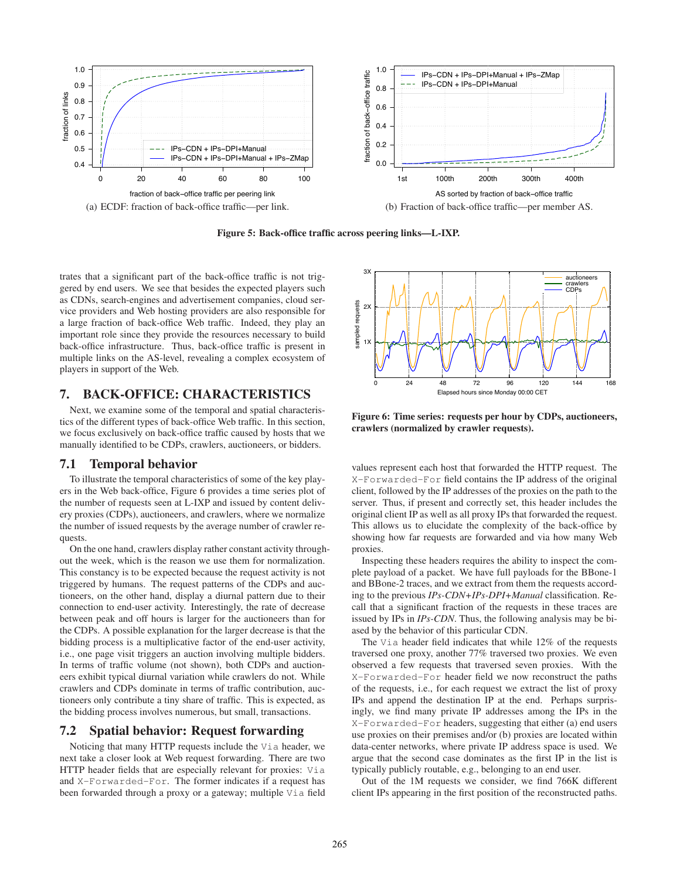

Figure 5: Back-office traffic across peering links—L-IXP.

trates that a significant part of the back-office traffic is not triggered by end users. We see that besides the expected players such as CDNs, search-engines and advertisement companies, cloud service providers and Web hosting providers are also responsible for a large fraction of back-office Web traffic. Indeed, they play an important role since they provide the resources necessary to build back-office infrastructure. Thus, back-office traffic is present in multiple links on the AS-level, revealing a complex ecosystem of players in support of the Web.

#### 7. BACK-OFFICE: CHARACTERISTICS

Next, we examine some of the temporal and spatial characteristics of the different types of back-office Web traffic. In this section, we focus exclusively on back-office traffic caused by hosts that we manually identified to be CDPs, crawlers, auctioneers, or bidders.

#### 7.1 Temporal behavior

To illustrate the temporal characteristics of some of the key players in the Web back-office, Figure 6 provides a time series plot of the number of requests seen at L-IXP and issued by content delivery proxies (CDPs), auctioneers, and crawlers, where we normalize the number of issued requests by the average number of crawler requests.

On the one hand, crawlers display rather constant activity throughout the week, which is the reason we use them for normalization. This constancy is to be expected because the request activity is not triggered by humans. The request patterns of the CDPs and auctioneers, on the other hand, display a diurnal pattern due to their connection to end-user activity. Interestingly, the rate of decrease between peak and off hours is larger for the auctioneers than for the CDPs. A possible explanation for the larger decrease is that the bidding process is a multiplicative factor of the end-user activity, i.e., one page visit triggers an auction involving multiple bidders. In terms of traffic volume (not shown), both CDPs and auctioneers exhibit typical diurnal variation while crawlers do not. While crawlers and CDPs dominate in terms of traffic contribution, auctioneers only contribute a tiny share of traffic. This is expected, as the bidding process involves numerous, but small, transactions.

#### 7.2 Spatial behavior: Request forwarding

Noticing that many HTTP requests include the Via header, we next take a closer look at Web request forwarding. There are two HTTP header fields that are especially relevant for proxies: Via and X-Forwarded-For. The former indicates if a request has been forwarded through a proxy or a gateway; multiple Via field



Figure 6: Time series: requests per hour by CDPs, auctioneers, crawlers (normalized by crawler requests).

values represent each host that forwarded the HTTP request. The X-Forwarded-For field contains the IP address of the original client, followed by the IP addresses of the proxies on the path to the server. Thus, if present and correctly set, this header includes the original client IP as well as all proxy IPs that forwarded the request. This allows us to elucidate the complexity of the back-office by showing how far requests are forwarded and via how many Web proxies.

Inspecting these headers requires the ability to inspect the complete payload of a packet. We have full payloads for the BBone-1 and BBone-2 traces, and we extract from them the requests according to the previous *IPs-CDN+IPs-DPI+Manual* classification. Recall that a significant fraction of the requests in these traces are issued by IPs in *IPs-CDN*. Thus, the following analysis may be biased by the behavior of this particular CDN.

The V<sub>ia</sub> header field indicates that while 12% of the requests traversed one proxy, another 77% traversed two proxies. We even observed a few requests that traversed seven proxies. With the X-Forwarded-For header field we now reconstruct the paths of the requests, i.e., for each request we extract the list of proxy IPs and append the destination IP at the end. Perhaps surprisingly, we find many private IP addresses among the IPs in the X-Forwarded-For headers, suggesting that either (a) end users use proxies on their premises and/or (b) proxies are located within data-center networks, where private IP address space is used. We argue that the second case dominates as the first IP in the list is typically publicly routable, e.g., belonging to an end user.

Out of the 1M requests we consider, we find 766K different client IPs appearing in the first position of the reconstructed paths.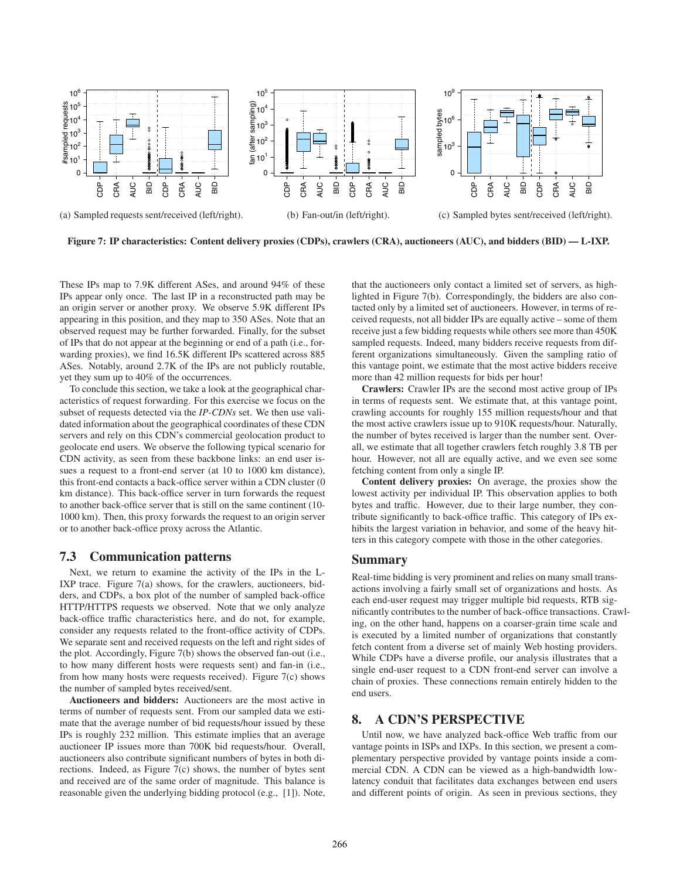

Figure 7: IP characteristics: Content delivery proxies (CDPs), crawlers (CRA), auctioneers (AUC), and bidders (BID) — L-IXP.

These IPs map to 7.9K different ASes, and around 94% of these IPs appear only once. The last IP in a reconstructed path may be an origin server or another proxy. We observe 5.9K different IPs appearing in this position, and they map to 350 ASes. Note that an observed request may be further forwarded. Finally, for the subset of IPs that do not appear at the beginning or end of a path (i.e., forwarding proxies), we find 16.5K different IPs scattered across 885 ASes. Notably, around 2.7K of the IPs are not publicly routable, yet they sum up to 40% of the occurrences.

To conclude this section, we take a look at the geographical characteristics of request forwarding. For this exercise we focus on the subset of requests detected via the *IP-CDNs* set. We then use validated information about the geographical coordinates of these CDN servers and rely on this CDN's commercial geolocation product to geolocate end users. We observe the following typical scenario for CDN activity, as seen from these backbone links: an end user issues a request to a front-end server (at 10 to 1000 km distance), this front-end contacts a back-office server within a CDN cluster (0 km distance). This back-office server in turn forwards the request to another back-office server that is still on the same continent (10- 1000 km). Then, this proxy forwards the request to an origin server or to another back-office proxy across the Atlantic.

## 7.3 Communication patterns

Next, we return to examine the activity of the IPs in the L-IXP trace. Figure 7(a) shows, for the crawlers, auctioneers, bidders, and CDPs, a box plot of the number of sampled back-office HTTP/HTTPS requests we observed. Note that we only analyze back-office traffic characteristics here, and do not, for example, consider any requests related to the front-office activity of CDPs. We separate sent and received requests on the left and right sides of the plot. Accordingly, Figure 7(b) shows the observed fan-out (i.e., to how many different hosts were requests sent) and fan-in (i.e., from how many hosts were requests received). Figure 7(c) shows the number of sampled bytes received/sent.

Auctioneers and bidders: Auctioneers are the most active in terms of number of requests sent. From our sampled data we estimate that the average number of bid requests/hour issued by these IPs is roughly 232 million. This estimate implies that an average auctioneer IP issues more than 700K bid requests/hour. Overall, auctioneers also contribute significant numbers of bytes in both directions. Indeed, as Figure 7(c) shows, the number of bytes sent and received are of the same order of magnitude. This balance is reasonable given the underlying bidding protocol (e.g., [1]). Note, that the auctioneers only contact a limited set of servers, as highlighted in Figure 7(b). Correspondingly, the bidders are also contacted only by a limited set of auctioneers. However, in terms of received requests, not all bidder IPs are equally active – some of them receive just a few bidding requests while others see more than 450K sampled requests. Indeed, many bidders receive requests from different organizations simultaneously. Given the sampling ratio of this vantage point, we estimate that the most active bidders receive more than 42 million requests for bids per hour!

Crawlers: Crawler IPs are the second most active group of IPs in terms of requests sent. We estimate that, at this vantage point, crawling accounts for roughly 155 million requests/hour and that the most active crawlers issue up to 910K requests/hour. Naturally, the number of bytes received is larger than the number sent. Overall, we estimate that all together crawlers fetch roughly 3.8 TB per hour. However, not all are equally active, and we even see some fetching content from only a single IP.

Content delivery proxies: On average, the proxies show the lowest activity per individual IP. This observation applies to both bytes and traffic. However, due to their large number, they contribute significantly to back-office traffic. This category of IPs exhibits the largest variation in behavior, and some of the heavy hitters in this category compete with those in the other categories.

#### Summary

Real-time bidding is very prominent and relies on many small transactions involving a fairly small set of organizations and hosts. As each end-user request may trigger multiple bid requests, RTB significantly contributes to the number of back-office transactions. Crawling, on the other hand, happens on a coarser-grain time scale and is executed by a limited number of organizations that constantly fetch content from a diverse set of mainly Web hosting providers. While CDPs have a diverse profile, our analysis illustrates that a single end-user request to a CDN front-end server can involve a chain of proxies. These connections remain entirely hidden to the end users.

# 8. A CDN'S PERSPECTIVE

Until now, we have analyzed back-office Web traffic from our vantage points in ISPs and IXPs. In this section, we present a complementary perspective provided by vantage points inside a commercial CDN. A CDN can be viewed as a high-bandwidth lowlatency conduit that facilitates data exchanges between end users and different points of origin. As seen in previous sections, they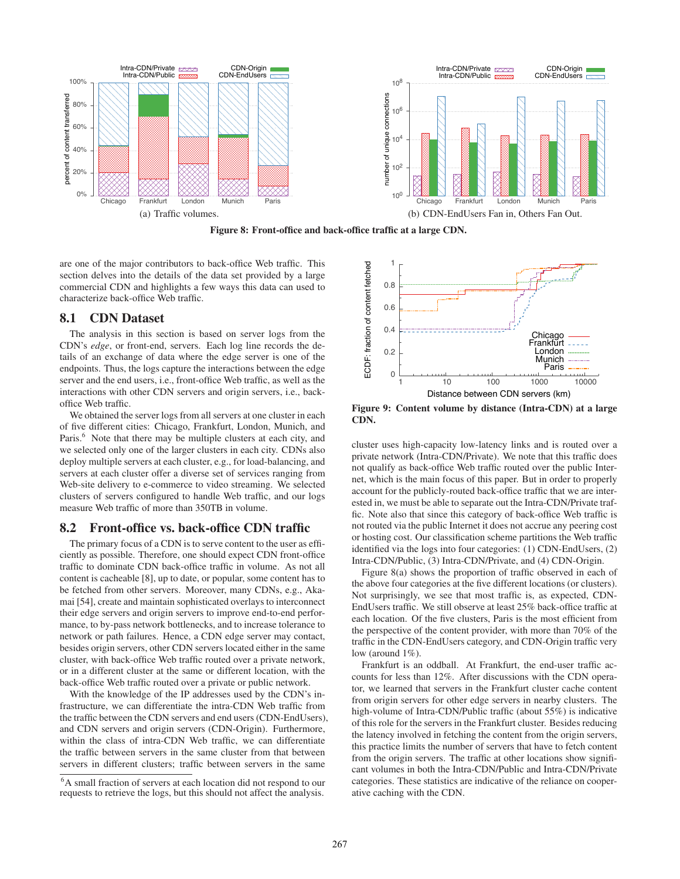

Figure 8: Front-office and back-office traffic at a large CDN.

are one of the major contributors to back-office Web traffic. This section delves into the details of the data set provided by a large commercial CDN and highlights a few ways this data can used to characterize back-office Web traffic.

#### 8.1 CDN Dataset

The analysis in this section is based on server logs from the CDN's *edge*, or front-end, servers. Each log line records the details of an exchange of data where the edge server is one of the endpoints. Thus, the logs capture the interactions between the edge server and the end users, i.e., front-office Web traffic, as well as the interactions with other CDN servers and origin servers, i.e., backoffice Web traffic.

We obtained the server logs from all servers at one cluster in each of five different cities: Chicago, Frankfurt, London, Munich, and Paris.<sup>6</sup> Note that there may be multiple clusters at each city, and we selected only one of the larger clusters in each city. CDNs also deploy multiple servers at each cluster, e.g., for load-balancing, and servers at each cluster offer a diverse set of services ranging from Web-site delivery to e-commerce to video streaming. We selected clusters of servers configured to handle Web traffic, and our logs measure Web traffic of more than 350TB in volume.

#### 8.2 Front-office vs. back-office CDN traffic

The primary focus of a CDN is to serve content to the user as efficiently as possible. Therefore, one should expect CDN front-office traffic to dominate CDN back-office traffic in volume. As not all content is cacheable [8], up to date, or popular, some content has to be fetched from other servers. Moreover, many CDNs, e.g., Akamai [54], create and maintain sophisticated overlays to interconnect their edge servers and origin servers to improve end-to-end performance, to by-pass network bottlenecks, and to increase tolerance to network or path failures. Hence, a CDN edge server may contact, besides origin servers, other CDN servers located either in the same cluster, with back-office Web traffic routed over a private network, or in a different cluster at the same or different location, with the back-office Web traffic routed over a private or public network.

With the knowledge of the IP addresses used by the CDN's infrastructure, we can differentiate the intra-CDN Web traffic from the traffic between the CDN servers and end users (CDN-EndUsers), and CDN servers and origin servers (CDN-Origin). Furthermore, within the class of intra-CDN Web traffic, we can differentiate the traffic between servers in the same cluster from that between servers in different clusters; traffic between servers in the same



Figure 9: Content volume by distance (Intra-CDN) at a large CDN.

cluster uses high-capacity low-latency links and is routed over a private network (Intra-CDN/Private). We note that this traffic does not qualify as back-office Web traffic routed over the public Internet, which is the main focus of this paper. But in order to properly account for the publicly-routed back-office traffic that we are interested in, we must be able to separate out the Intra-CDN/Private traffic. Note also that since this category of back-office Web traffic is not routed via the public Internet it does not accrue any peering cost or hosting cost. Our classification scheme partitions the Web traffic identified via the logs into four categories: (1) CDN-EndUsers, (2) Intra-CDN/Public, (3) Intra-CDN/Private, and (4) CDN-Origin.

Figure 8(a) shows the proportion of traffic observed in each of the above four categories at the five different locations (or clusters). Not surprisingly, we see that most traffic is, as expected, CDN-EndUsers traffic. We still observe at least 25% back-office traffic at each location. Of the five clusters, Paris is the most efficient from the perspective of the content provider, with more than 70% of the traffic in the CDN-EndUsers category, and CDN-Origin traffic very low (around 1%).

Frankfurt is an oddball. At Frankfurt, the end-user traffic accounts for less than 12%. After discussions with the CDN operator, we learned that servers in the Frankfurt cluster cache content from origin servers for other edge servers in nearby clusters. The high-volume of Intra-CDN/Public traffic (about 55%) is indicative of this role for the servers in the Frankfurt cluster. Besides reducing the latency involved in fetching the content from the origin servers, this practice limits the number of servers that have to fetch content from the origin servers. The traffic at other locations show significant volumes in both the Intra-CDN/Public and Intra-CDN/Private categories. These statistics are indicative of the reliance on cooperative caching with the CDN.

<sup>&</sup>lt;sup>6</sup>A small fraction of servers at each location did not respond to our requests to retrieve the logs, but this should not affect the analysis.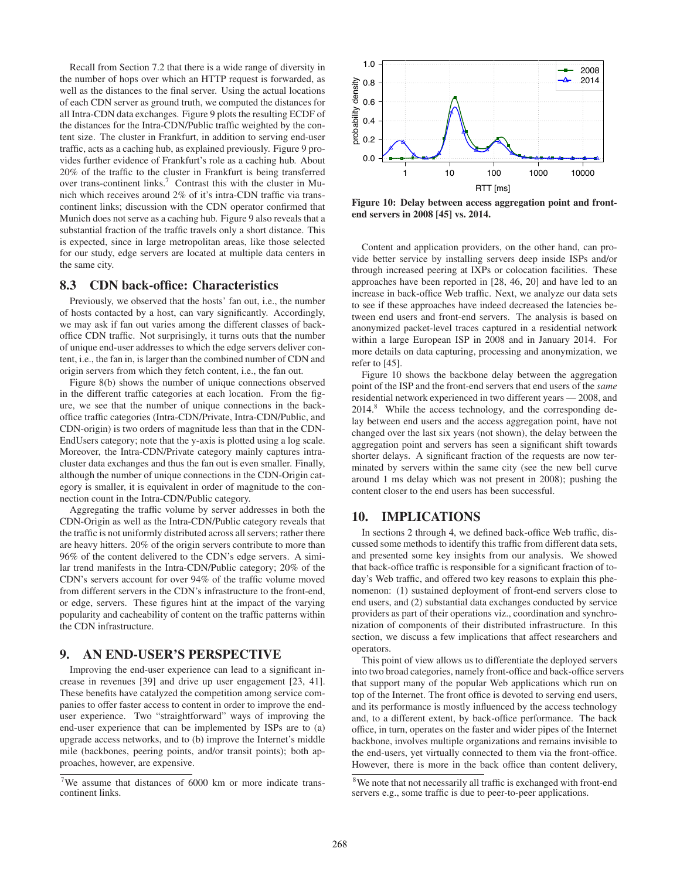Recall from Section 7.2 that there is a wide range of diversity in the number of hops over which an HTTP request is forwarded, as well as the distances to the final server. Using the actual locations of each CDN server as ground truth, we computed the distances for all Intra-CDN data exchanges. Figure 9 plots the resulting ECDF of the distances for the Intra-CDN/Public traffic weighted by the content size. The cluster in Frankfurt, in addition to serving end-user traffic, acts as a caching hub, as explained previously. Figure 9 provides further evidence of Frankfurt's role as a caching hub. About 20% of the traffic to the cluster in Frankfurt is being transferred over trans-continent links.<sup>7</sup> Contrast this with the cluster in Munich which receives around 2% of it's intra-CDN traffic via transcontinent links; discussion with the CDN operator confirmed that Munich does not serve as a caching hub. Figure 9 also reveals that a substantial fraction of the traffic travels only a short distance. This is expected, since in large metropolitan areas, like those selected for our study, edge servers are located at multiple data centers in the same city.

#### 8.3 CDN back-office: Characteristics

Previously, we observed that the hosts' fan out, i.e., the number of hosts contacted by a host, can vary significantly. Accordingly, we may ask if fan out varies among the different classes of backoffice CDN traffic. Not surprisingly, it turns outs that the number of unique end-user addresses to which the edge servers deliver content, i.e., the fan in, is larger than the combined number of CDN and origin servers from which they fetch content, i.e., the fan out.

Figure 8(b) shows the number of unique connections observed in the different traffic categories at each location. From the figure, we see that the number of unique connections in the backoffice traffic categories (Intra-CDN/Private, Intra-CDN/Public, and CDN-origin) is two orders of magnitude less than that in the CDN-EndUsers category; note that the y-axis is plotted using a log scale. Moreover, the Intra-CDN/Private category mainly captures intracluster data exchanges and thus the fan out is even smaller. Finally, although the number of unique connections in the CDN-Origin category is smaller, it is equivalent in order of magnitude to the connection count in the Intra-CDN/Public category.

Aggregating the traffic volume by server addresses in both the CDN-Origin as well as the Intra-CDN/Public category reveals that the traffic is not uniformly distributed across all servers; rather there are heavy hitters. 20% of the origin servers contribute to more than 96% of the content delivered to the CDN's edge servers. A similar trend manifests in the Intra-CDN/Public category; 20% of the CDN's servers account for over 94% of the traffic volume moved from different servers in the CDN's infrastructure to the front-end, or edge, servers. These figures hint at the impact of the varying popularity and cacheability of content on the traffic patterns within the CDN infrastructure.

# 9. AN END-USER'S PERSPECTIVE

Improving the end-user experience can lead to a significant increase in revenues [39] and drive up user engagement [23, 41]. These benefits have catalyzed the competition among service companies to offer faster access to content in order to improve the enduser experience. Two "straightforward" ways of improving the end-user experience that can be implemented by ISPs are to (a) upgrade access networks, and to (b) improve the Internet's middle mile (backbones, peering points, and/or transit points); both approaches, however, are expensive.



Figure 10: Delay between access aggregation point and frontend servers in 2008 [45] vs. 2014.

Content and application providers, on the other hand, can provide better service by installing servers deep inside ISPs and/or through increased peering at IXPs or colocation facilities. These approaches have been reported in [28, 46, 20] and have led to an increase in back-office Web traffic. Next, we analyze our data sets to see if these approaches have indeed decreased the latencies between end users and front-end servers. The analysis is based on anonymized packet-level traces captured in a residential network within a large European ISP in 2008 and in January 2014. For more details on data capturing, processing and anonymization, we refer to [45].

Figure 10 shows the backbone delay between the aggregation point of the ISP and the front-end servers that end users of the *same* residential network experienced in two different years — 2008, and 2014.<sup>8</sup> While the access technology, and the corresponding delay between end users and the access aggregation point, have not changed over the last six years (not shown), the delay between the aggregation point and servers has seen a significant shift towards shorter delays. A significant fraction of the requests are now terminated by servers within the same city (see the new bell curve around 1 ms delay which was not present in 2008); pushing the content closer to the end users has been successful.

## 10. IMPLICATIONS

In sections 2 through 4, we defined back-office Web traffic, discussed some methods to identify this traffic from different data sets, and presented some key insights from our analysis. We showed that back-office traffic is responsible for a significant fraction of today's Web traffic, and offered two key reasons to explain this phenomenon: (1) sustained deployment of front-end servers close to end users, and (2) substantial data exchanges conducted by service providers as part of their operations viz., coordination and synchronization of components of their distributed infrastructure. In this section, we discuss a few implications that affect researchers and operators.

This point of view allows us to differentiate the deployed servers into two broad categories, namely front-office and back-office servers that support many of the popular Web applications which run on top of the Internet. The front office is devoted to serving end users, and its performance is mostly influenced by the access technology and, to a different extent, by back-office performance. The back office, in turn, operates on the faster and wider pipes of the Internet backbone, involves multiple organizations and remains invisible to the end-users, yet virtually connected to them via the front-office. However, there is more in the back office than content delivery,

 $7$ We assume that distances of 6000 km or more indicate transcontinent links.

<sup>&</sup>lt;sup>8</sup>We note that not necessarily all traffic is exchanged with front-end servers e.g., some traffic is due to peer-to-peer applications.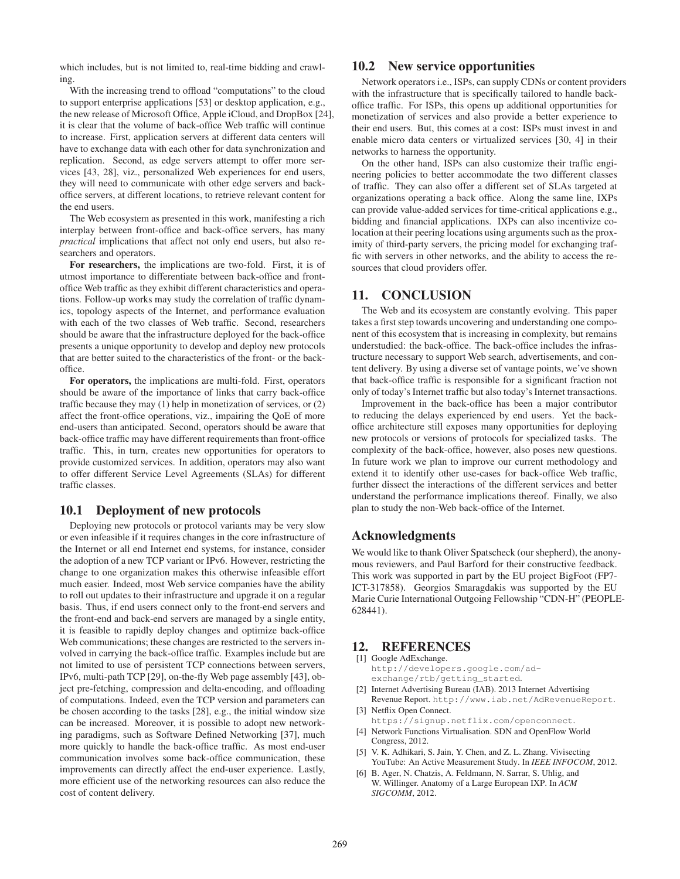which includes, but is not limited to, real-time bidding and crawling.

With the increasing trend to offload "computations" to the cloud to support enterprise applications [53] or desktop application, e.g., the new release of Microsoft Office, Apple iCloud, and DropBox [24], it is clear that the volume of back-office Web traffic will continue to increase. First, application servers at different data centers will have to exchange data with each other for data synchronization and replication. Second, as edge servers attempt to offer more services [43, 28], viz., personalized Web experiences for end users, they will need to communicate with other edge servers and backoffice servers, at different locations, to retrieve relevant content for the end users.

The Web ecosystem as presented in this work, manifesting a rich interplay between front-office and back-office servers, has many *practical* implications that affect not only end users, but also researchers and operators.

For researchers, the implications are two-fold. First, it is of utmost importance to differentiate between back-office and frontoffice Web traffic as they exhibit different characteristics and operations. Follow-up works may study the correlation of traffic dynamics, topology aspects of the Internet, and performance evaluation with each of the two classes of Web traffic. Second, researchers should be aware that the infrastructure deployed for the back-office presents a unique opportunity to develop and deploy new protocols that are better suited to the characteristics of the front- or the backoffice.

For operators, the implications are multi-fold. First, operators should be aware of the importance of links that carry back-office traffic because they may (1) help in monetization of services, or (2) affect the front-office operations, viz., impairing the QoE of more end-users than anticipated. Second, operators should be aware that back-office traffic may have different requirements than front-office traffic. This, in turn, creates new opportunities for operators to provide customized services. In addition, operators may also want to offer different Service Level Agreements (SLAs) for different traffic classes.

#### 10.1 Deployment of new protocols

Deploying new protocols or protocol variants may be very slow or even infeasible if it requires changes in the core infrastructure of the Internet or all end Internet end systems, for instance, consider the adoption of a new TCP variant or IPv6. However, restricting the change to one organization makes this otherwise infeasible effort much easier. Indeed, most Web service companies have the ability to roll out updates to their infrastructure and upgrade it on a regular basis. Thus, if end users connect only to the front-end servers and the front-end and back-end servers are managed by a single entity, it is feasible to rapidly deploy changes and optimize back-office Web communications; these changes are restricted to the servers involved in carrying the back-office traffic. Examples include but are not limited to use of persistent TCP connections between servers, IPv6, multi-path TCP [29], on-the-fly Web page assembly [43], object pre-fetching, compression and delta-encoding, and offloading of computations. Indeed, even the TCP version and parameters can be chosen according to the tasks [28], e.g., the initial window size can be increased. Moreover, it is possible to adopt new networking paradigms, such as Software Defined Networking [37], much more quickly to handle the back-office traffic. As most end-user communication involves some back-office communication, these improvements can directly affect the end-user experience. Lastly, more efficient use of the networking resources can also reduce the cost of content delivery.

## 10.2 New service opportunities

Network operators i.e., ISPs, can supply CDNs or content providers with the infrastructure that is specifically tailored to handle backoffice traffic. For ISPs, this opens up additional opportunities for monetization of services and also provide a better experience to their end users. But, this comes at a cost: ISPs must invest in and enable micro data centers or virtualized services [30, 4] in their networks to harness the opportunity.

On the other hand, ISPs can also customize their traffic engineering policies to better accommodate the two different classes of traffic. They can also offer a different set of SLAs targeted at organizations operating a back office. Along the same line, IXPs can provide value-added services for time-critical applications e.g., bidding and financial applications. IXPs can also incentivize colocation at their peering locations using arguments such as the proximity of third-party servers, the pricing model for exchanging traffic with servers in other networks, and the ability to access the resources that cloud providers offer.

#### 11. CONCLUSION

The Web and its ecosystem are constantly evolving. This paper takes a first step towards uncovering and understanding one component of this ecosystem that is increasing in complexity, but remains understudied: the back-office. The back-office includes the infrastructure necessary to support Web search, advertisements, and content delivery. By using a diverse set of vantage points, we've shown that back-office traffic is responsible for a significant fraction not only of today's Internet traffic but also today's Internet transactions.

Improvement in the back-office has been a major contributor to reducing the delays experienced by end users. Yet the backoffice architecture still exposes many opportunities for deploying new protocols or versions of protocols for specialized tasks. The complexity of the back-office, however, also poses new questions. In future work we plan to improve our current methodology and extend it to identify other use-cases for back-office Web traffic, further dissect the interactions of the different services and better understand the performance implications thereof. Finally, we also plan to study the non-Web back-office of the Internet.

## Acknowledgments

We would like to thank Oliver Spatscheck (our shepherd), the anonymous reviewers, and Paul Barford for their constructive feedback. This work was supported in part by the EU project BigFoot (FP7- ICT-317858). Georgios Smaragdakis was supported by the EU Marie Curie International Outgoing Fellowship "CDN-H" (PEOPLE-628441).

#### 12. REFERENCES

- [1] Google AdExchange. http://developers.google.com/adexchange/rtb/getting\_started.
- [2] Internet Advertising Bureau (IAB). 2013 Internet Advertising Revenue Report. http://www.iab.net/AdRevenueReport. [3] Netflix Open Connect.
- https://signup.netflix.com/openconnect.
- [4] Network Functions Virtualisation. SDN and OpenFlow World Congress, 2012.
- [5] V. K. Adhikari, S. Jain, Y. Chen, and Z. L. Zhang. Vivisecting YouTube: An Active Measurement Study. In *IEEE INFOCOM*, 2012.
- [6] B. Ager, N. Chatzis, A. Feldmann, N. Sarrar, S. Uhlig, and W. Willinger. Anatomy of a Large European IXP. In *ACM SIGCOMM*, 2012.